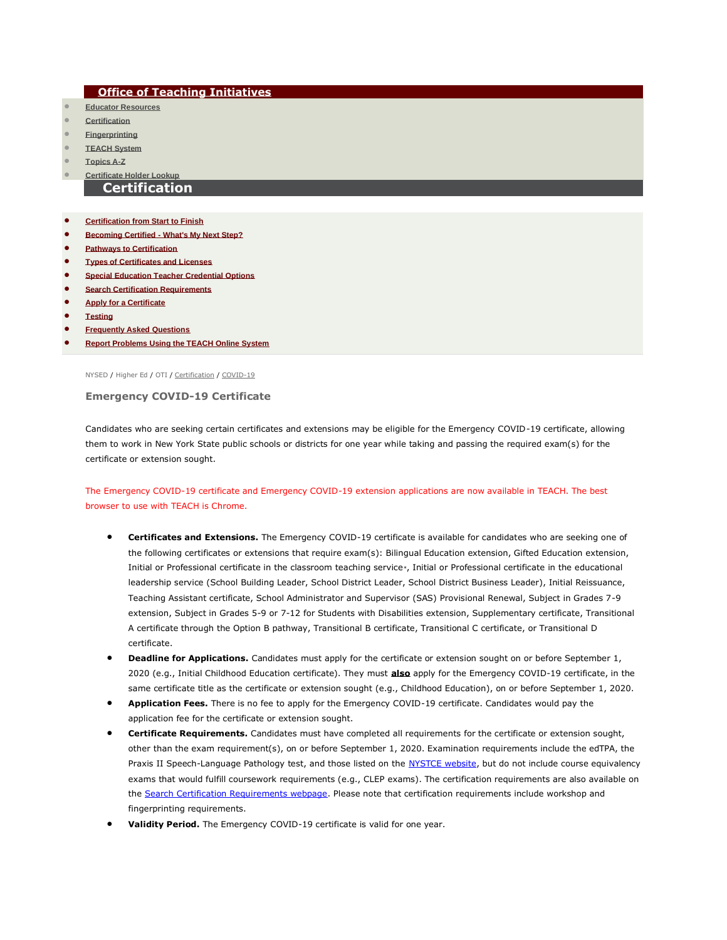## **[Office of Teaching Initiatives](http://www.highered.nysed.gov/tcert/)**

- **[Educator Resources](http://www.highered.nysed.gov/tcert/resteachers/)**
- **[Certification](http://www.highered.nysed.gov/tcert/certificate/)**
- **[Fingerprinting](http://www.highered.nysed.gov/tsei/ospra/)**
- **[TEACH System](http://www.highered.nysed.gov/tcert/teach/)**
- **[Topics A-Z](http://www.highered.nysed.gov/tcert/topics_az.html)**

## • **[Certificate Holder Lookup](http://eservices.nysed.gov/teach/certhelp/CpPersonSearchExternal.jsp)**

## **Certification**

- **[Certification from Start to Finish](http://www.highered.nysed.gov/tcert/certificate/certprocess.html)**
- **Becoming Certified - [What's My Next Step?](http://www.highered.nysed.gov/tcert/certificate/applicant.html)**
- **[Pathways to Certification](http://www.highered.nysed.gov/tcert/certificate/pathways.html)**
- **[Types of Certificates and Licenses](http://www.highered.nysed.gov/tcert/certificate/typesofcerts.html)**
- **[Special Education Teacher Credential Options](http://www.highered.nysed.gov/tcert/certificate/special-education-teacher.html)**
- **[Search Certification Requirements](http://eservices.nysed.gov/teach/certhelp/CertRequirementHelp.do)**
- **[Apply for a Certificate](http://www.highered.nysed.gov/tcert/certificate/apply.html)**
- **[Testing](http://www.highered.nysed.gov/tcert/certificate/certexam.html)**
- **[Frequently Asked Questions](http://www.highered.nysed.gov/tcert/faq.html)**
- **[Report Problems Using the TEACH Online System](http://www.highered.nysed.gov/tcert/teach/report.html)**

[NYSED](http://www.nysed.gov/) / [Higher Ed](http://www.highered.nysed.gov/) / [OTI](http://www.highered.nysed.gov/tcert/) / [Certification](http://www.highered.nysed.gov/tcert/certificate/) / [COVID-19](http://www.highered.nysed.gov/tcert/certificate/covid19-certs.html)

**Emergency COVID-19 Certificate**

Candidates who are seeking certain certificates and extensions may be eligible for the Emergency COVID-19 certificate, allowing them to work in New York State public schools or districts for one year while taking and passing the required exam(s) for the certificate or extension sought.

## The Emergency COVID-19 certificate and Emergency COVID-19 extension applications are now available in TEACH. The best browser to use with TEACH is Chrome.

- **Certificates and Extensions.** The Emergency COVID-19 certificate is available for candidates who are seeking one of the following certificates or extensions that require exam(s): Bilingual Education extension, Gifted Education extension, Initial or Professional certificate in the classroom teaching service\*, Initial or Professional certificate in the educational leadership service (School Building Leader, School District Leader, School District Business Leader), Initial Reissuance, Teaching Assistant certificate, School Administrator and Supervisor (SAS) Provisional Renewal, Subject in Grades 7-9 extension, Subject in Grades 5-9 or 7-12 for Students with Disabilities extension, Supplementary certificate, Transitional A certificate through the Option B pathway, Transitional B certificate, Transitional C certificate, or Transitional D certificate.
- **Deadline for Applications.** Candidates must apply for the certificate or extension sought on or before September 1, 2020 (e.g., Initial Childhood Education certificate). They must **also** apply for the Emergency COVID-19 certificate, in the same certificate title as the certificate or extension sought (e.g., Childhood Education), on or before September 1, 2020.
- **Application Fees.** There is no fee to apply for the Emergency COVID-19 certificate. Candidates would pay the application fee for the certificate or extension sought.
- **Certificate Requirements.** Candidates must have completed all requirements for the certificate or extension sought, other than the exam requirement(s), on or before September 1, 2020. Examination requirements include the edTPA, the Praxis II Speech-Language Pathology test, and those listed on the [NYSTCE website,](http://www.nystce.nesinc.com/PageView.aspx?f=GEN_Tests.html) but do not include course equivalency exams that would fulfill coursework requirements (e.g., CLEP exams). The certification requirements are also available on the [Search Certification Requirements webpage.](http://eservices.nysed.gov/teach/certhelp/CertRequirementHelp.do) Please note that certification requirements include workshop and fingerprinting requirements.
- **Validity Period.** The Emergency COVID-19 certificate is valid for one year.